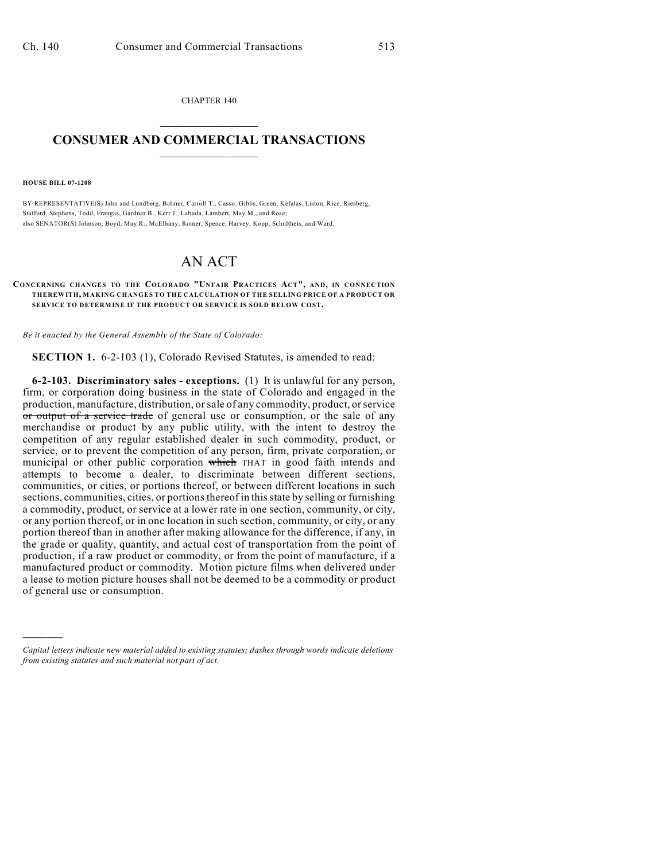CHAPTER 140  $\overline{\phantom{a}}$  . The set of the set of the set of the set of the set of the set of the set of the set of the set of the set of the set of the set of the set of the set of the set of the set of the set of the set of the set o

## **CONSUMER AND COMMERCIAL TRANSACTIONS**  $\frac{1}{2}$  ,  $\frac{1}{2}$  ,  $\frac{1}{2}$  ,  $\frac{1}{2}$  ,  $\frac{1}{2}$  ,  $\frac{1}{2}$

**HOUSE BILL 07-1208**

)))))

BY REPRESENTATIVE(S) Jahn and Lundberg, Balmer, Carroll T., Casso, Gibbs, Green, Kefalas, Liston, Rice, Riesberg, Stafford, Stephens, Todd, Frangas, Gardner B., Kerr J., Labuda, Lambert, May M., and Rose; also SENATOR(S) Johnson, Boyd, May R., McElhany, Romer, Spence, Harvey, Kopp, Schultheis, and Ward.

## AN ACT

## **CONCERNING CHANGES TO THE COLORADO "UNFAIR PRACTICES ACT", AND, IN CONNECTION THEREWITH, MAKING CHANGES TO THE CALCULATION OF THE SELLING PRICE OF A PRODUCT OR** SERVICE TO DETERMINE IF THE PRODUCT OR SERVICE IS SOLD BELOW COST.

*Be it enacted by the General Assembly of the State of Colorado:*

**SECTION 1.** 6-2-103 (1), Colorado Revised Statutes, is amended to read:

**6-2-103. Discriminatory sales - exceptions.** (1) It is unlawful for any person, firm, or corporation doing business in the state of Colorado and engaged in the production, manufacture, distribution, or sale of any commodity, product, or service or output of a service trade of general use or consumption, or the sale of any merchandise or product by any public utility, with the intent to destroy the competition of any regular established dealer in such commodity, product, or service, or to prevent the competition of any person, firm, private corporation, or municipal or other public corporation which THAT in good faith intends and attempts to become a dealer, to discriminate between different sections, communities, or cities, or portions thereof, or between different locations in such sections, communities, cities, or portions thereof in this state by selling or furnishing a commodity, product, or service at a lower rate in one section, community, or city, or any portion thereof, or in one location in such section, community, or city, or any portion thereof than in another after making allowance for the difference, if any, in the grade or quality, quantity, and actual cost of transportation from the point of production, if a raw product or commodity, or from the point of manufacture, if a manufactured product or commodity. Motion picture films when delivered under a lease to motion picture houses shall not be deemed to be a commodity or product of general use or consumption.

*Capital letters indicate new material added to existing statutes; dashes through words indicate deletions from existing statutes and such material not part of act.*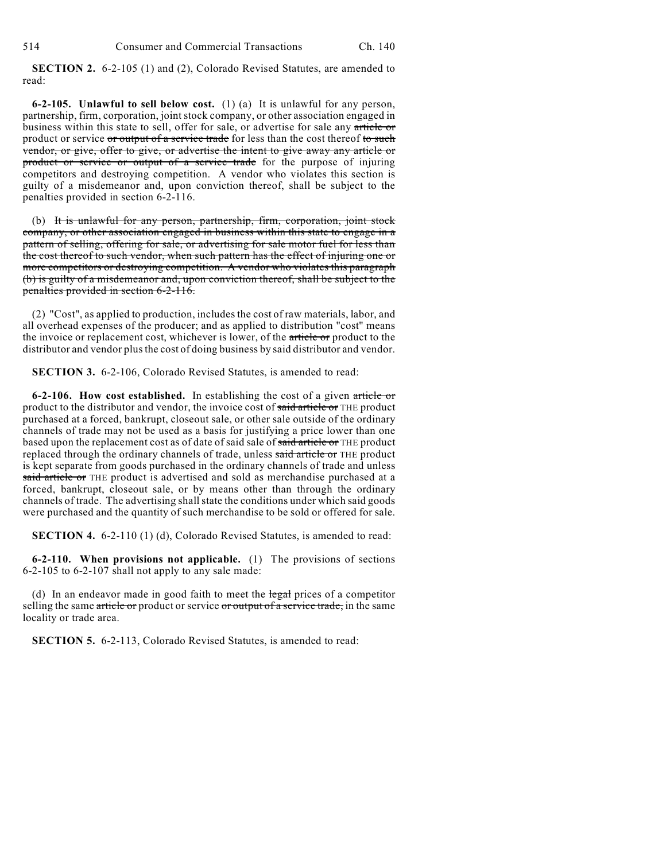**SECTION 2.** 6-2-105 (1) and (2), Colorado Revised Statutes, are amended to read:

**6-2-105. Unlawful to sell below cost.** (1) (a) It is unlawful for any person, partnership, firm, corporation, joint stock company, or other association engaged in business within this state to sell, offer for sale, or advertise for sale any article or product or service or output of a service trade for less than the cost thereof to such vendor, or give, offer to give, or advertise the intent to give away any article or product or service or output of a service trade for the purpose of injuring competitors and destroying competition. A vendor who violates this section is guilty of a misdemeanor and, upon conviction thereof, shall be subject to the penalties provided in section 6-2-116.

(b) It is unlawful for any person, partnership, firm, corporation, joint stock company, or other association engaged in business within this state to engage in a pattern of selling, offering for sale, or advertising for sale motor fuel for less than the cost thereof to such vendor, when such pattern has the effect of injuring one or more competitors or destroying competition. A vendor who violates this paragraph (b) is guilty of a misdemeanor and, upon conviction thereof, shall be subject to the penalties provided in section 6-2-116.

(2) "Cost", as applied to production, includes the cost of raw materials, labor, and all overhead expenses of the producer; and as applied to distribution "cost" means the invoice or replacement cost, whichever is lower, of the article or product to the distributor and vendor plus the cost of doing business by said distributor and vendor.

**SECTION 3.** 6-2-106, Colorado Revised Statutes, is amended to read:

**6-2-106. How cost established.** In establishing the cost of a given article or product to the distributor and vendor, the invoice cost of said article or THE product purchased at a forced, bankrupt, closeout sale, or other sale outside of the ordinary channels of trade may not be used as a basis for justifying a price lower than one based upon the replacement cost as of date of said sale of said article or THE product replaced through the ordinary channels of trade, unless said article or THE product is kept separate from goods purchased in the ordinary channels of trade and unless said article or THE product is advertised and sold as merchandise purchased at a forced, bankrupt, closeout sale, or by means other than through the ordinary channels of trade. The advertising shall state the conditions under which said goods were purchased and the quantity of such merchandise to be sold or offered for sale.

**SECTION 4.** 6-2-110 (1) (d), Colorado Revised Statutes, is amended to read:

**6-2-110. When provisions not applicable.** (1) The provisions of sections 6-2-105 to 6-2-107 shall not apply to any sale made:

(d) In an endeavor made in good faith to meet the  $\frac{1}{2}$  prices of a competitor selling the same article or product or service or output of a service trade, in the same locality or trade area.

**SECTION 5.** 6-2-113, Colorado Revised Statutes, is amended to read: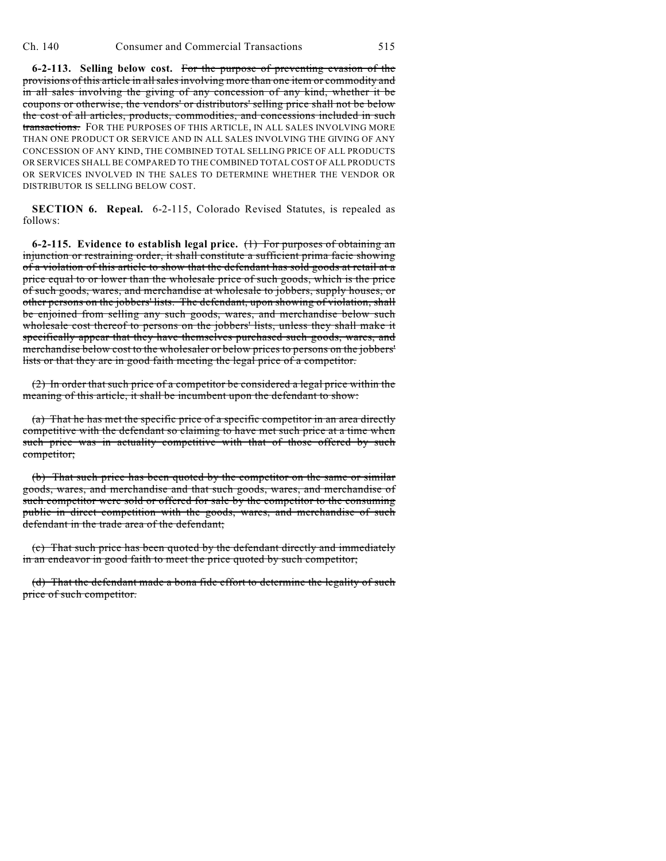**6-2-113. Selling below cost.** For the purpose of preventing evasion of the provisions of this article in all sales involving more than one item or commodity and in all sales involving the giving of any concession of any kind, whether it be coupons or otherwise, the vendors' or distributors' selling price shall not be below the cost of all articles, products, commodities, and concessions included in such transactions. FOR THE PURPOSES OF THIS ARTICLE, IN ALL SALES INVOLVING MORE THAN ONE PRODUCT OR SERVICE AND IN ALL SALES INVOLVING THE GIVING OF ANY CONCESSION OF ANY KIND, THE COMBINED TOTAL SELLING PRICE OF ALL PRODUCTS OR SERVICES SHALL BE COMPARED TO THE COMBINED TOTAL COST OF ALL PRODUCTS OR SERVICES INVOLVED IN THE SALES TO DETERMINE WHETHER THE VENDOR OR DISTRIBUTOR IS SELLING BELOW COST.

**SECTION 6. Repeal.** 6-2-115, Colorado Revised Statutes, is repealed as follows:

**6-2-115. Evidence to establish legal price.** (1) For purposes of obtaining an injunction or restraining order, it shall constitute a sufficient prima facie showing of a violation of this article to show that the defendant has sold goods at retail at a price equal to or lower than the wholesale price of such goods, which is the price of such goods, wares, and merchandise at wholesale to jobbers, supply houses, or other persons on the jobbers' lists. The defendant, upon showing of violation, shall be enjoined from selling any such goods, wares, and merchandise below such wholesale cost thereof to persons on the jobbers' lists, unless they shall make it specifically appear that they have themselves purchased such goods, wares, and merchandise below cost to the wholesaler or below prices to persons on the jobbers' lists or that they are in good faith meeting the legal price of a competitor.

(2) In order that such price of a competitor be considered a legal price within the meaning of this article, it shall be incumbent upon the defendant to show:

(a) That he has met the specific price of a specific competitor in an area directly competitive with the defendant so claiming to have met such price at a time when such price was in actuality competitive with that of those offered by such competitor;

(b) That such price has been quoted by the competitor on the same or similar goods, wares, and merchandise and that such goods, wares, and merchandise of such competitor were sold or offered for sale by the competitor to the consuming public in direct competition with the goods, wares, and merchandise of such defendant in the trade area of the defendant;

(c) That such price has been quoted by the defendant directly and immediately in an endeavor in good faith to meet the price quoted by such competitor;

(d) That the defendant made a bona fide effort to determine the legality of such price of such competitor.